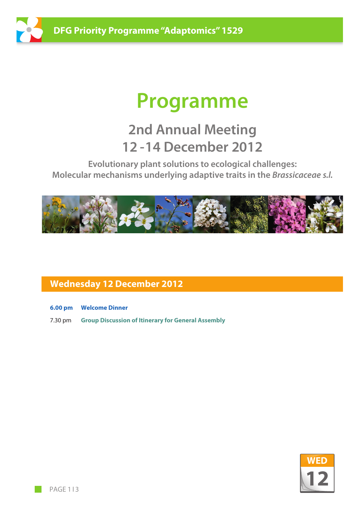

# **Programme**

## **2nd Annual Meeting 12 -14 December 2012**

**Evolutionary plant solutions to ecological challenges: Molecular mechanisms underlying adaptive traits in the** *Brassicaceae s.l.*



#### **Wednesday 12 December 2012**

- **6.00 pm Welcome Dinner**
- 7.30 pm **Group Discussion of Itinerary for General Assembly**

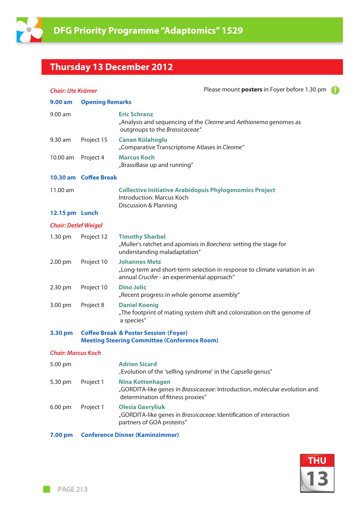

### **Thursday 13 December 2012**

| <b>Chair: Ute Krämer</b>    |                                                                                                         | Please mount <b>posters</b> in Foyer before 1.30 pm                                                                                               |  |
|-----------------------------|---------------------------------------------------------------------------------------------------------|---------------------------------------------------------------------------------------------------------------------------------------------------|--|
| 9.00 am                     | <b>Opening Remarks</b>                                                                                  |                                                                                                                                                   |  |
| 9.00 am                     |                                                                                                         | <b>Eric Schranz</b><br>"Analysis and sequencing of the Cleome and Aethionema genomes as<br>outgroups to the Brassicaceae"                         |  |
| 9.30 am                     | Project 15                                                                                              | <b>Canan Külahoglu</b><br>"Comparative Transcriptome Atlases in Cleome"                                                                           |  |
| 10.00 am                    | Project 4                                                                                               | <b>Marcus Koch</b><br>"BrassiBase up and running"                                                                                                 |  |
|                             | 10.30 am Coffee Break                                                                                   |                                                                                                                                                   |  |
| 11.00 am                    |                                                                                                         | <b>Collective Initiative Arabidopsis Phylogenomics Project</b><br>Introduction: Marcus Koch<br><b>Discussion &amp; Planning</b>                   |  |
| 12.15 pm Lunch              |                                                                                                         |                                                                                                                                                   |  |
| <b>Chair: Detlef Weigel</b> |                                                                                                         |                                                                                                                                                   |  |
| 1.30 pm                     | Project 12                                                                                              | <b>Timothy Sharbel</b><br>"Muller's ratchet and apomixis in Boechera: setting the stage for<br>understanding maladaptation"                       |  |
| 2.00 pm                     | Project 10                                                                                              | <b>Johannes Metz</b><br>"Long-term and short-term selection in response to climate variation in an<br>annual Crucifer - an experimental approach" |  |
| 2.30 pm                     | Project 10                                                                                              | <b>Dino Jolic</b><br>"Recent progress in whole genome assembly"                                                                                   |  |
| 3.00 pm                     | Project 8                                                                                               | <b>Daniel Koenig</b><br>"The footprint of mating system shift and colonization on the genome of<br>a species"                                     |  |
| 3.30 pm                     | <b>Coffee Break &amp; Poster Session (Foyer)</b><br><b>Meeting Steering Committee (Conference Room)</b> |                                                                                                                                                   |  |
| <b>Chair: Marcus Koch</b>   |                                                                                                         |                                                                                                                                                   |  |
| 5.00 pm                     |                                                                                                         | <b>Adrien Sicard</b><br>"Evolution of the 'selfing syndrome' in the Capsella genus"                                                               |  |
| 5.30 pm                     | Project 1                                                                                               | <b>Nina Kottenhagen</b><br>"GORDITA-like genes in Brassicaceae: Introduction, molecular evolution and<br>determination of fitness proxies"        |  |
| $6.00 \text{ pm}$           | Project 1                                                                                               | <b>Olesia Gavryliuk</b><br>"GORDITA-like genes in Brassicaceae: Identification of interaction<br>partners of GOA proteins"                        |  |
| 7.00 pm                     | <b>Conference Dinner (Kaminzimmer)</b>                                                                  |                                                                                                                                                   |  |